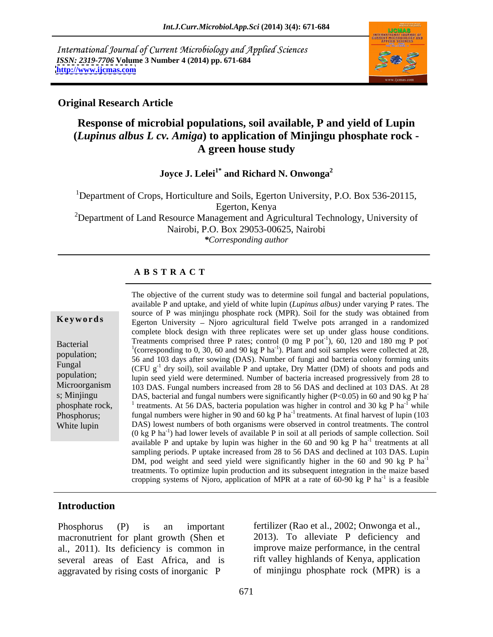International Journal of Current Microbiology and Applied Sciences *ISSN: 2319-7706* **Volume 3 Number 4 (2014) pp. 671-684 <http://www.ijcmas.com>**



#### **Original Research Article**

## **Response of microbial populations, soil available, P and yield of Lupin (***Lupinus albus L cv. Amiga***) to application of Minjingu phosphate rock - A green house study**

### **Joyce J. Lelei1\* and Richard N. Onwonga2**

<sup>1</sup>Department of Crops, Horticulture and Soils, Egerton University, P.O. Box 536-20115, Egerton, Kenya

<sup>2</sup>Department of Land Resource Management and Agricultural Technology, University of Nairobi, P.O. Box 29053-00625, Nairobi *\*Corresponding author* 

#### **A B S T R A C T**

**Keywords** Egerton University – Njoro agricultural field Twelve pots arranged in a randomized Bacterial Treatments comprised three P rates; control  $(0 \text{ mg P pot}^1)$ ,  $60$ ,  $120$  and  $180$  mg P pot<sup>-1</sup> (corresponding to 0, 30, 60 and 00 kg B hg<sup>-1</sup>). Blant and soil semples were solleated at 28 population; corresponding to 0, 50, 60 and 50 kg F has following some samples were conected at 28,<br>Figure 1. 56 and 103 days after sowing (DAS). Number of fungi and bacteria colony forming units Fungal  $(CFU \, g^{-1}$  dry soil), soil available P and uptake, Dry Matter (DM) of shoots and pods and population;<br>
lupin seed yield were determined. Number of bacteria increased progressively from 28 to Microorganism 103 DAS. Fungal numbers increased from 28 to 56 DAS and declined at 103 DAS. At 28 s; Minjingu DAS, bacterial and fungal numbers were significantly higher  $(P<0.05)$  in 60 and 90 kg P ha-<br>phosphate rock  $\frac{1}{2}$  treatments. At 56 DAS, bectoria population was bigher in sentral and 30 kg P ha<sup>-1</sup> while phosphate rock,  $\frac{1}{1}$  treatments. At 56 DAS, bacteria population was higher in control and 30 kg P ha<sup>-1</sup> while Phosphorus; fungal numbers were higher in 90 and 60 kg P ha<sup>-1</sup> treatments. At final harvest of lupin (103 White lupin DAS) lowest numbers of both organisms were observed in control treatments. The control The objective of the current study was to determine soil fungal and bacterial populations, available P and uptake, and yield of white lupin (*Lupinus albus)* under varying P rates. The source of P was minjingu phosphate rock (MPR). Soil for the study was obtained from complete block design with three replicates were set up under glass house conditions. (corresponding to 0, 30, 60 and 90 kg P ha<sup>-1</sup>). Plant and soil samples were collected at 28,  $^{-1}$  while  $(0 \text{ kg } P \text{ ha}^{-1})$  had lower levels of available P in soil at all periods of sample collection. Soil available P and uptake by lupin was higher in the 60 and 90 kg P  $ha^{-1}$  treatments at all  $^{-1}$  tractmonts of all treatments at all sampling periods. P uptake increased from 28 to 56 DAS and declined at 103 DAS. Lupin DM, pod weight and seed yield were significantly higher in the 60 and 90 kg P  $ha^{-1}$ -1 treatments. To optimize lupin production and its subsequent integration in the maize based cropping systems of Njoro, application of MPR at a rate of 60-90 kg P ha<sup>-1</sup> is a feasible  $^{-1}$  is a formula is a feasible

#### **Introduction**

macronutrient for plant growth (Shen et al., 2011). Its deficiency is common in improve maize performance, in the central several areas of East Africa, and is aggravated by rising costs of inorganic P

Phosphorus (P) is an important fertilizer (Rao et al., 2002; Onwonga et al., 2013). To alleviate P deficiency and rift valley highlands of Kenya, application of minjingu phosphate rock (MPR) is a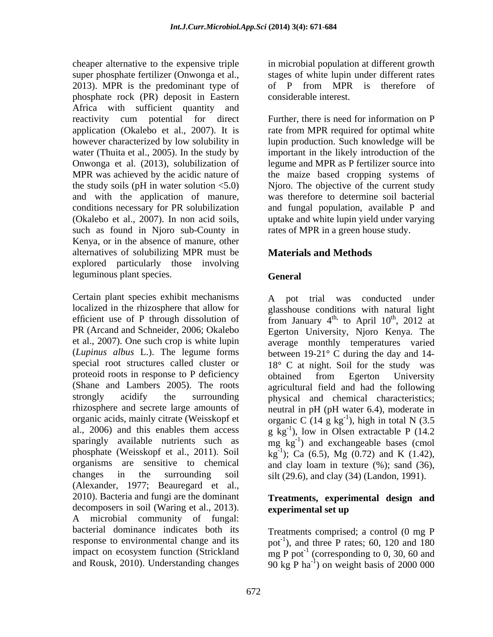cheaper alternative to the expensive triple in microbial population at different growth super phosphate fertilizer (Onwonga et al., stages of white lupin under different rates 2013). MPR is the predominant type of of P from MPR is therefore of phosphate rock (PR) deposit in Eastern Africa with sufficient quantity and reactivity cum potential for direct Further, there is need for information on P application (Okalebo et al., 2007). It is rate from MPR required for optimal white however characterized by low solubility in lupin production. Such knowledge will be water (Thuita et al., 2005). In the study by important in the likely introduction of the Onwonga et al. (2013), solubilization of legume and MPR as P fertilizer source into MPR was achieved by the acidic nature of the maize based cropping systems of the study soils (pH in water solution <5.0) Njoro. The objective of the current study and with the application of manure, conditions necessary for PR solubilization and fungal population, available P and (Okalebo et al., 2007). In non acid soils, such as found in Njoro sub-County in Kenya, or in the absence of manure, other alternatives of solubilizing MPR must be explored particularly those involving leguminous plant species.

Certain plant species exhibit mechanisms A pot trial was conducted under localized in the rhizosphere that allow for glasshouse conditions with natural light efficient use of P through dissolution of from January  $4^{th}$ , to April  $10^{th}$ ,  $2012$  at PR (Arcand and Schneider, 2006; Okalebo Egerton University, Njoro Kenya. The et al., 2007). One such crop is white lupin average monthly temperatures varied (*Lupinus albus* L.). The legume forms between 19-21° C during the day and 14 special root structures called cluster or 18° C at night. Soil for the study was proteoid roots in response to P deficiency obtained from Egerton University (Shane and Lambers 2005). The roots agricultural field and had the following strongly acidify the surrounding physical and chemical characteristics; rhizosphere and secrete large amounts of neutral in pH (pH water 6.4), moderate in organic acids, mainly citrate (Weisskopf et organic C  $(14 \text{ g kg}^{-1})$ , high in total N  $(3.5 \text{ m})$ al., 2006) and this enables them access  $g\text{kg}^{-1}$ , low in Olsen extractable P (14.2) sparingly available nutrients such as  $\log_{10} \text{kg}^{-1}$ ) and exchangeable bases (cmol phosphate (Weisskopf et al., 2011). Soil  $\text{kg}^{-1}$ ); Ca (6.5), Mg (0.72) and K (1.42), organisms are sensitive to chemical and clay loam in texture (%); sand (36), changes in the surrounding soil silt (29.6), and clay (34) (Landon, 1991). (Alexander, 1977; Beauregard et al., 2010). Bacteria and fungi are the dominant **Treatments, experimental design and** decomposers in soil (Waring et al., 2013). experimental set up A microbial community of fungal: bacterial dominance indicates both its Treatments comprised; a control (0 mg P response to environmental change and its  $pot^{-1}$ , and three P rates; 60, 120 and 180 impact on ecosystem function (Strickland  $mg P$  pot<sup>-1</sup> (corresponding to 0, 30, 60 and

of P from MPR is therefore of considerable interest.

was therefore to determine soil bacterial uptake and white lupin yield under varying rates of MPR in a green house study.

### **Materials and Methods**

### **General**

 $\frac{\text{th}}{2012}$  of , 2012 at obtained from Egerton University ), high in total N (3.5

# **experimental set up**

and Rousk, 2010). Understanding changes  $90 \text{ kg} \cdot P \text{ ha}^{-1}$  on weight basis of 2000 000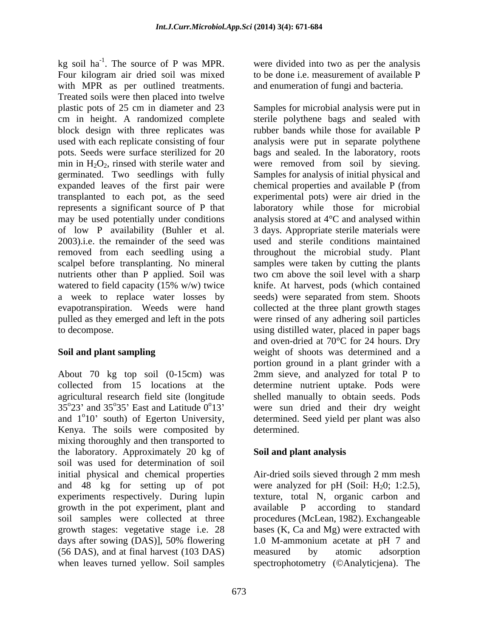kg soil ha<sup>-1</sup>. The source of P was MPR. were divided into two as per the analysis kg soil  $ha^{-1}$ . The source of P was MPR. Four kilogram air dried soil was mixed with MPR as per outlined treatments. Treated soils were then placed into twelve plastic pots of 25 cm in diameter and 23 Samples for microbial analysis were put in cm in height. A randomized complete sterile polythene bags and sealed with block design with three replicates was rubber bands while those for available P used with each replicate consisting of four analysis were put in separate polythene pots. Seeds were surface sterilized for 20 min in  $H_2O_2$ , rinsed with sterile water and were removed from soil by sieving. germinated. Two seedlings with fully Samples for analysis of initial physical and expanded leaves of the first pair were chemical properties and available P (from transplanted to each pot, as the seed experimental pots) were air dried in the represents a significant source of P that laboratory while those for microbial may be used potentially under conditions of low P availability (Buhler et al. 3 days. Appropriate sterile materials were 2003).i.e. the remainder of the seed was used and sterile conditions maintained removed from each seedling using a scalpel before transplanting. No mineral samples were taken by cutting the plants nutrients other than P applied. Soil was two cm above the soil level with a sharp watered to field capacity (15% w/w) twice last knife. At harvest, pods (which contained a week to replace water losses by seeds) were separated from stem. Shoots evapotranspiration. Weeds were hand collected at the three plant growth stages pulled as they emerged and left in the pots were rinsed of any adhering soil particles to decompose. using distilled water, placed in paper bags

About 70 kg top soil (0-15cm) was Kenya. The soils were composited by determined. mixing thoroughly and then transported to the laboratory. Approximately 20 kg of soil was used for determination of soil initial physical and chemical properties Air-dried soils sieved through 2 mm mesh and 48 kg for setting up of pot were analyzed for pH (Soil:  $H_20$ ; 1:2.5), experiments respectively. During lupin texture, total N, organic carbon and growth in the pot experiment, plant and available P according to standard soil samples were collected at three procedures (McLean, 1982). Exchangeable growth stages: vegetative stage i.e. 28 bases (K, Ca and Mg) were extracted with days after sowing (DAS)], 50% flowering 1.0 M-ammonium acetate at pH 7 and (56 DAS), and at final harvest (103 DAS) when leaves turned yellow. Soil samples spectrophotometry (©Analyticjena). The

to be done i.e. measurement of available P and enumeration of fungi and bacteria.

**Soil and plant sampling** weight of shoots was determined and a collected from 15 locations at the determine nutrient uptake. Pods were agricultural research field site (longitude shelled manually to obtain seeds. Pods  $35^{\circ}23'$  and  $35^{\circ}35'$  East and Latitude  $0^{\circ}13'$  were sun dried and their dry weight and 1<sup>o</sup>10' south) of Egerton University, determined. Seed yield per plant was also 10' south) of Egerton University, determined. Seed yield per plant was also bags and sealed. In the laboratory, roots chemical properties and available P (from analysis stored at 4°C and analysed within throughout the microbial study. Plant knife. At harvest, pods (which contained and oven-dried at 70°C for 24 hours. Dry portion ground in a plant grinder with a 2mm sieve, and analyzed for total P to determined.

### **Soil and plant analysis**

available  $P$  according to 1.0 M-ammonium acetate at pH 7 and measured by atomic adsorption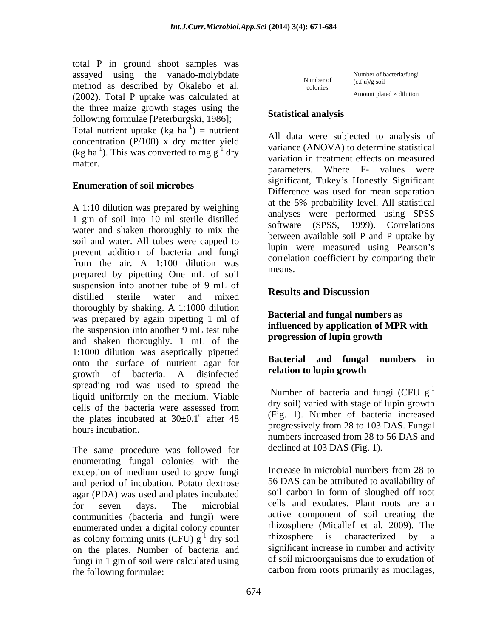total P in ground shoot samples was assayed using the vanado-molybdate method as described by Okalebo et al.  $\frac{\text{number of}}{\text{colories}} = \frac{(\text{c.f.u})/g \text{ soil}}{\text{Amount plated} \times \text{dilution}}$ (2002). Total P uptake was calculated at the three maize growth stages using the<br>
Statistical analysis following formulae [Peterburgski, 1986]; Total nutrient uptake  $(kg ha<sup>-1</sup>)$  = nutrient  $^{-1}$ ) = nutriont concentration (P/100) x dry matter yield

#### **Enumeration of soil microbes**

A 1:10 dilution was prepared by weighing 1 gm of soil into 10 ml sterile distilled water and shaken thoroughly to mix the soil and water. All tubes were capped to prevent addition of bacteria and fungi from the air. A  $1:100$  dilution was correlated to the correlation of  $\alpha$  means. prepared by pipetting One mL of soil suspension into another tube of 9 mL of<br>distilled the start of the start of the start of **Results and Discussion** distilled sterile water and mixed **NESULS and DISCUSSION** thoroughly by shaking. A 1:1000 dilution was prepared by again pipetting 1 ml of the suspension into another 9 mL test tube<br>  $\begin{array}{ll}\n\text{number of hyperbolic} \\
\text{exponential-1} & \text{inter} \\
\text{inter} & \text{inter} \\
\text{inter} & \text{inter} \\
\text{inter} & \text{inter} \\
\text{inter} & \text{inter} \\
\text{inter} & \text{inter} \\
\text{inter} & \text{inter} \\
\text{inter} & \text{inter} \\
\text{inter} & \text{inter} \\
\text{inter} & \text{inter} \\
\text{inter} & \text{inter} \\
\text{inter} & \text{inter} \\
\text{inter} & \text{inter}$ and shaken thoroughly. 1 mL of the 1:1000 dilution was aseptically pipetted<br>ante the surface of nutrient easy for **Bacterial and fungal numbers in** onto the surface of nutrient agar for<br> **Example 1990 Example 1 CO Example 1 CO Elation to lupin growth** growth of bacteria. A disinfected relation to tup in growth of bacteria. spreading rod was used to spread the liquid uniformly on the medium. Viable cells of the bacteria were assessed from  $\alpha$  and  $\alpha$  is the same stage of the strong growth the plates incubated at  $30\pm0.1^\circ$  after 48 progressively from 28 to 103 DAS. Fungal<br>hours incubation.

The same procedure was followed for enumerating fungal colonies with the<br>exception of medium used to grow fungi line lines in microbial numbers from 28 to exception of medium used to grow fungi and period of incubation. Potato dextrose agar (PDA) was used and plates incubated for seven days. The microbial cells and exudates. Plant roots are an communities (bacteria and fungi) were enumerated under a digital colony counter as colony forming units (CFU)  $g^{-1}$  dry soil on the plates. Number of bacteria and fungi in 1 gm of soil were calculated using the following formulae: carbon from roots primarily as mucilages,

Number of bacteria/fungi  
colories = 
$$
\frac{\text{Number of bacteria/fungi}}{\text{Amount plated} \times \text{dilution}}
$$

### **Statistical analysis**

 $=$  nutrient  $\Delta$ <sup>11</sup> data was subjected to exclude of  $(\text{kg ha}^{-1})$ . This was converted to mg g<sup>-1</sup> dry variance (ANOVA) to determine statistical dry variation in treatment effects on measured matter.<br>
parameters. Where F- values were<br>
parameters. Where F- values were All data were subjected to analysis of variance (ANOVA) to determine statistical significant, Tukey's Honestly Significant Difference was used for mean separation at the 5% probability level. All statistical analyses were performed using SPSS software (SPSS, 1999). Correlations between available soil P and P uptake by lupin were measured using Pearson's correlation coefficient by comparing their means.

### **Results and Discussion**

#### **Bacterial and fungal numbers as influenced by application of MPR with progression of lupin growth**

#### **Bacterial and fungal numbers in relation to lupin growth**

 $\frac{1}{\alpha}$  after 48 (Fig. 1). Number of bacteria increased Number of bacteria and fungi (CFU  $g^{-1}$ -1 dry soil) varied with stage of lupin growth numbers increased from 28 to 56 DAS and declined at 103 DAS (Fig. 1).

<sup>-1</sup> dry soil thizosphere is characterized by a Increase in microbial numbers from 28 to 56 DAS can be attributed to availability of soil carbon in form of sloughed off root active component of soil creating the rhizosphere (Micallef et al. 2009). The significant increase in number and activity of soil microorganisms due to exudation of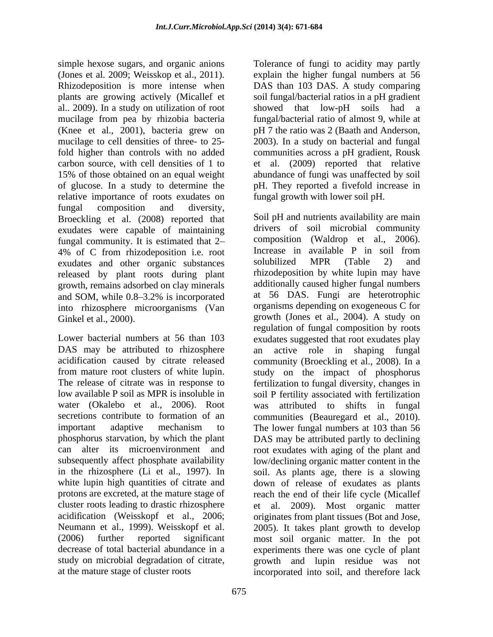simple hexose sugars, and organic anions Tolerance of fungi to acidity may partly (Jones et al. 2009; Weisskop et al., 2011). explain the higher fungal numbers at 56 Rhizodeposition is more intense when DAS than 103 DAS. A study comparing plants are growing actively (Micallef et soil fungal/bacterial ratios in a pH gradient al.. 2009). In a study on utilization of root showed that low-pH soils had a mucilage from pea by rhizobia bacteria fungal/bacterial ratio of almost 9, while at (Knee et al., 2001), bacteria grew on pH 7 the ratio was 2 (Baath and Anderson, mucilage to cell densities of three- to 25-<br>2003). In a study on bacterial and fungal fold higher than controls with no added communities across a pH gradient, Rousk carbon source, with cell densities of 1 to et al. (2009) reported that relative 15% of those obtained on an equal weight abundance of fungi was unaffected by soil of glucose. In a study to determine the relative importance of roots exudates on fungal composition and diversity, Broeckling et al. (2008) reported that exudates were capable of maintaining fungal community. It is estimated that 2-<br>  $\frac{10}{6}$  composition (Waldrop et al., 2006).<br>  $\frac{10}{6}$  of C from rhizodenosition i.e. root Increase in available P in soil from 4% of C from rhizodeposition i.e. root<br>
exudates and other organic substances<br>
solubilized MPR (Table 2) and exudates and other organic substances solubilized MPR (Table 2) released by plant roots during plant growth, remains adsorbed on clay minerals into rhizosphere microorganisms (Van

DAS may be attributed to rhizosphere an active role in shaping fungal water (Okalebo et al., 2006). Root acidification (Weisskopf et al., 2006;

pH <sup>7</sup> the ratio was <sup>2</sup> (Baath and Anderson, 2003). In <sup>a</sup> study on bacterial and fungal pH. They reported a fivefold increase in fungal growth with lower soil pH.

and SOM, while 0.8–3.2% is incorporated at 56 DAS. Fungi are heterotrophic Ginkel et al., 2000). **Exercise 2001** growth (Jones et al., 2004). A study on Lower bacterial numbers at 56 than 103 exudates suggested that root exudates play acidification caused by citrate released community (Broeckling et al., 2008). In a from mature root clusters of white lupin. study on the impact of phosphorus The release of citrate was in response to fertilization to fungal diversity, changes in low available P soil as MPR is insoluble in soil P fertility associated with fertilization secretions contribute to formation of an communities (Beauregard et al., 2010). important adaptive mechanism to The lower fungal numbersat 103 than 56 phosphorus starvation, by which the plant DAS may be attributed partly to declining can alter its microenvironment and root exudates with aging of the plant and subsequently affect phosphate availability low/declining organic matter content in the in the rhizosphere (Li et al., 1997). In soil. As plants age, there is a slowing white lupin high quantities of citrate and down of release of exudates as plants protons are excreted, at the mature stage of reach the end of their life cycle (Micallef cluster roots leading to drastic rhizosphere et al. 2009). Most organic matter Neumann et al., 1999). Weisskopf et al. 2005). It takes plant growth to develop (2006) further reported significant most soil organic matter. In the pot decrease of total bacterial abundance in a experiments there was one cycle of plant study on microbial degradation of citrate, growth and lupin residue was not at the mature stage of cluster roots incorporated into soil, and therefore lackSoil pH and nutrients availability are main drivers of soil microbial community composition (Waldrop et al., 2006). Increase in available P in soil from solubilized MPR (Table 2) and rhizodeposition by white lupin may have additionally caused higher fungal numbers at 56 DAS. Fungi are heterotrophic organisms depending on exogeneous C for regulation of fungal composition by roots an active role in shaping fungal was attributed to shifts in fungal originates from plant tissues (Bot and Jose,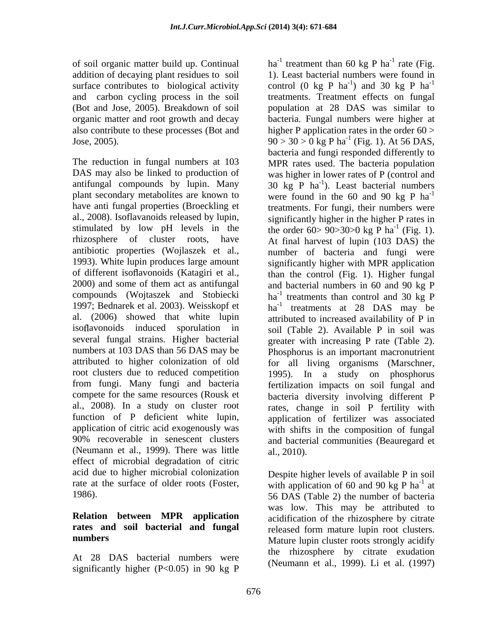addition of decaying plant residues to soil and carbon cycling process in the soil organic matter and root growth and decay

1993). White lupin produces large amount attributed to higher colonization of old root clusters due to reduced competition (Neumann et al., 1999). There was little $\qquad \qquad$ al., 2010). effect of microbial degradation of citric acid due to higher microbial colonization Despite higher levels of available P in soil rate at the surface of older roots (Foster, with application of 60 and 90 kg P ha<sup>-1</sup> at

## **Relation between MPR application rates and soil bacterial and fungal**

At 28 DAS bacterial numbers were significantly higher (P<0.05) in 90 kg P

of soil organic matter build up. Continual  $ha^{-1}$  treatment than 60 kg P ha<sup>-1</sup> rate (Fig. surface contributes to biological activity control (0 kg P ha<sup>-1</sup>) and 30 kg P ha<sup>-1</sup> (Bot and Jose, 2005). Breakdown of soil population at 28 DAS was similar to also contribute to these processes (Bot and higher P application rates in the order 60 > Jose, 2005). 90 > 30 > 0 kg P ha<sup>-1</sup> (Fig. 1). At 56 DAS, The reduction in fungal numbers at 103 MPR rates used. The bacteria population DAS may also be linked to production of was higher in lower rates of P (control and antifungal compounds by lupin. Many  $30 \text{ kg}^{\text{T}} P \text{ ha}^{-1}$ ). Least bacterial numbers plant secondary metabolites are known to were found in the 60 and 90 kg P ha<sup>-1</sup> have anti fungal properties (Broeckling et treatments. For fungi, their numbers were al., 2008). Isoflavanoids released by lupin, significantly higher in the higher P rates in stimulated by low pH levels in the the order  $60 > 90 > 30 > 0$  kg P ha<sup>-1</sup> (Fig. 1). rhizosphere of cluster roots, have At final harvest of lupin (103 DAS) the antibiotic properties (Wojlaszek et al., number of bacteria and fungi were of different isoflavonoids (Katagiri et al., than the control (Fig. 1). Higher fungal 2000) and some of them act as antifungal and bacterial numbers in 60 and 90 kg P compounds (Wojtaszek and Stobiecki  $ha^{-1}$  treatments than control and 30 kg P 1997; Bednarek et al. 2003). Weisskopf et ha<sup>-1</sup> treatments at 28 DAS may be al. (2006) showed that white lupin attributed to increased availability of P in isoflavonoids induced sporulation in soil (Table 2). Available P in soil was several fungal strains. Higher bacterial greater with increasing P rate (Table 2). numbers at 103 DAS than 56 DAS may be Phosphorus is an important macronutrient from fungi. Many fungi and bacteria fertilization impacts on soil fungal and compete for the same resources (Rousk et bacteria diversity involving different P al., 2008). In a study on cluster root rates, change in soil P fertility with function of P deficient white lupin, application of fertilizer was associated application of citric acid exogenously was with shifts in the composition of fungal 90% recoverable in senescent clusters and bacterial communities (Beauregard et  $^{-1}$  roto (Eig rate (Fig. 1). Least bacterial numbers were found in  $^{-1}$  and 20 kg D ha<sup>-1</sup> ) and 30 kg P  $ha^{-1}$ -1 treatments. Treatment effects on fungal bacteria. Fungal numbers were higher at (Fig. 1). At 56 DAS, bacteria and fungi responded differently to -1  $\frac{1}{\text{Eic}}$  1) (Fig. 1). significantly higher with MPR application for all living organisms (Marschner, 1995). In a study on phosphorus al., 2010).

1986). 56 DAS (Table 2) the number of bacteria **numbers** Mature lupin cluster roots strongly acidify  $-1$  of at was low. This may be attributed to acidification of the rhizosphere by citrate released form mature lupin root clusters. the rhizosphere by citrate exudation (Neumann et al., 1999). Li et al. (1997).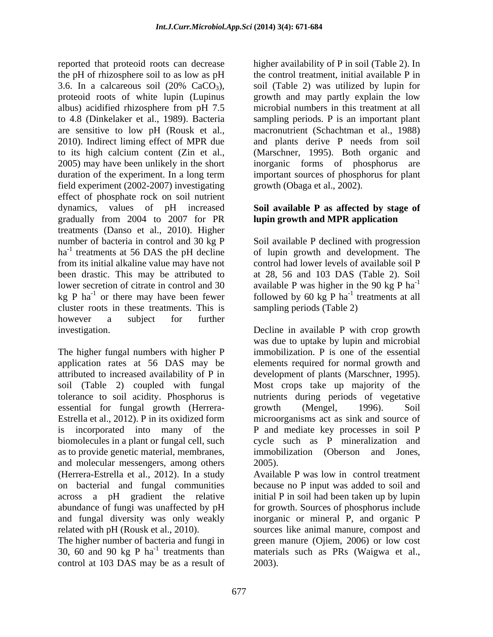reported that proteoid roots can decrease higher availability of P in soil (Table 2). In the pH of rhizosphere soil to as low as pH the control treatment, initial available P in 3.6. In a calcareous soil  $(20\% \text{ CaCO}_3)$ , soil (Table 2) was utilized by lupin for proteoid roots of white lupin (Lupinus growth and may partly explain the low albus) acidified rhizosphere from pH 7.5 to 4.8 (Dinkelaker et al., 1989). Bacteria sampling periods. P is an important plant are sensitive to low pH (Rousk et al., macronutrient (Schachtman et al., 1988) 2010). Indirect liming effect of MPR due and plants derive P needs from soil to its high calcium content (Zin et al., (Marschner, 1995). Both organic and 2005) may have been unlikely in the short inorganic forms of phosphorus are duration of the experiment. In a long term field experiment (2002-2007) investigating effect of phosphate rock on soil nutrient dynamics, values of pH increased **Soil available P as affected by stage of** gradually from 2004 to 2007 for PR treatments (Danso et al., 2010). Higher number of bacteria in control and 30 kg P Soil available P declined with progression ha<sup>-1</sup> treatments at 56 DAS the pH decline of lupin growth and development. The from its initial alkaline value may have not control had lower levels of available soilP been drastic. This may be attributed to lower secretion of citrate in control and 30 available P was higher in the 90 kg P ha<sup>-1</sup> kg P ha<sup>-1</sup> or there may have been fewer followed by 60 kg P ha<sup>-1</sup> treatments at all cluster roots in these treatments. This is however a subject for further investigation. Decline in available P with crop growth

The higher fungal numbers with higher P application rates at 56 DAS may be elements required for normal growth and attributed to increased availability of P in development of plants (Marschner, 1995). soil (Table 2) coupled with fungal Most crops take up majority of the tolerance to soil acidity. Phosphorus is nutrients during periods of vegetative essential for fungal growth (Herrera-<br>
growth (Mengel, 1996). Soil Estrella et al., 2012). P in its oxidized form is incorporated into many of the P and mediate key processes in soil P biomolecules in a plant or fungal cell, such cycle such as P mineralization and as to provide genetic material, membranes, immobilization (Oberson and Jones, and molecular messengers, among others 2005). (Herrera-Estrella et al., 2012). In a study on bacterial and fungal communities because no P input was added to soil and across a pH gradient the relative initial P in soil had been taken up by lupin abundance of fungi was unaffected by pH for growth. Sources of phosphorus include and fungal diversity was only weakly inorganic or mineral P, and organic P related with pH (Rousk et al., 2010). sources like animal manure, compost and

control at 103 DAS may be as a result of

soil (Table 2) was utilized by lupin for microbial numbers in this treatment at all inorganic forms of phosphorus important sources of phosphorus for plant growth (Obaga et al., 2002).

# **lupin growth and MPR application**

at 28, 56 and 103 DAS (Table 2). Soil -1  $^{-1}$  tractmonts of all treatments at all sampling periods (Table 2)

was due to uptake by lupin and microbial immobilization. P is one of the essential growth (Mengel, 1996). Soil microorganisms act as sink and source of immobilization (Oberson and Jones, 2005).

The higher number of bacteria and fungi in green manure (Ojiem, 2006) or low cost 30, 60 and 90 kg P ha -1 treatments than materials such as PRs (Waigwa et al., Available P was low in control treatment 2003).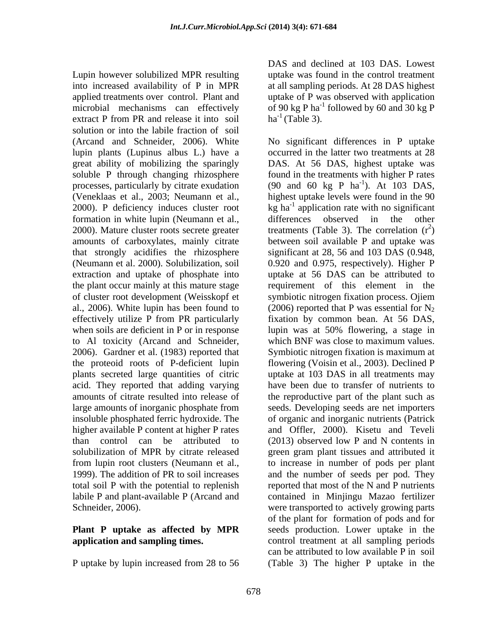Lupin however solubilized MPR resulting into increased availability of P in MPR at all sampling periods. At 28 DAS highest applied treatments over control. Plant and uptake of P was observed with application microbial mechanisms can effectively of 90 kg P ha<sup>-1</sup> followed by 60 and 30 kg P extract P from PR and release it into soil solution or into the labile fraction of soil lupin plants (Lupinus albus L.) have a great ability of mobilizing the sparingly formation in white lupin (Neumann et al., alifferences observed in the other of cluster root development (Weisskopf et when soils are deficient in P or in response  $\frac{1}{2}$  lupin was at 50% flowering, a stage in to Al toxicity (Arcand and Schneider, labile P and plant-available P (Arcand and

DAS and declined at 103 DAS. Lowest uptake was found in the control treatment  $ha^{-1}$  (Table 3).

(Arcand and Schneider, 2006). White No significant differences in P uptake soluble P through changing rhizosphere found in the treatments with higher P rates processes, particularly by citrate exudation (90 and 60 kg P ha<sup>-1</sup>). At 103 DAS, (Veneklaas et al., 2003; Neumann et al., highest uptake levels were found in the 90 2000). P deficiency induces cluster root  $\log$  ha<sup>-1</sup> application rate with no significant 2000). Mature cluster roots secrete greater treatments (Table 3). The correlation  $(r^2)$ amounts of carboxylates, mainly citrate between soil available P and uptake was that strongly acidifies the rhizosphere significant at 28, 56 and 103 DAS (0.948, (Neumann et al. 2000). Solubilization, soil 0.920 and 0.975, respectively). Higher P extraction and uptake of phosphate into uptake at 56 DAS can be attributed to the plant occur mainly at this mature stage requirement of this element in the al., 2006). White lupin has been found to  $(2006)$  reported that P was essential for  $N_2$ effectively utilize P from PR particularly fixation by common bean. At 56 DAS, 2006). Gardner et al. (1983) reported that Symbiotic nitrogen fixation is maximum at the proteoid roots of P-deficient lupin flowering (Voisin et al., 2003). Declined P plants secreted large quantities of citric uptake at 103 DAS in all treatments may acid. They reported that adding varying have been due to transfer of nutrients to amounts of citrate resulted into release of the reproductive part of the plant such as large amounts of inorganic phosphate from seeds. Developing seeds are net importers insoluble phosphated ferric hydroxide. The of organic and inorganic nutrients (Patrick higher available P content at higher P rates and Offler, 2000). Kisetu and Teveli than control can be attributed to (2013) observed low P and N contents in solubilization of MPR by citrate released green gram plant tissues and attributed it from lupin root clusters (Neumann et al., to increase in number of pods per plant 1999). The addition of PR to soil increases and the number of seeds per pod. They total soil P with the potential to replenish reported that most of the N and P nutrients Schneider, 2006). were transported to actively growing parts **Plant P uptake as affected by MPR** seeds production. Lower uptake in the **application and sampling times.** Control treatment at all sampling periods P uptake by lupin increased from 28 to 56 (Table 3) The higher P uptake in the occurred in the latter two treatments at 28 DAS. At 56 DAS, highest uptake was  $^{-1}$   $\lambda$   $\pm$  102 DAS ). At 103 DAS, differences observed in the other  $2\lambda$  $)$ symbiotic nitrogen fixation process. Ojiem lupin was at 50% flowering, a stage in which BNF was close to maximum values. contained in Minjingu Mazao fertilizer of the plant for formation of pods and for can be attributed to low available P in soil (Table 3) The higher P uptake in the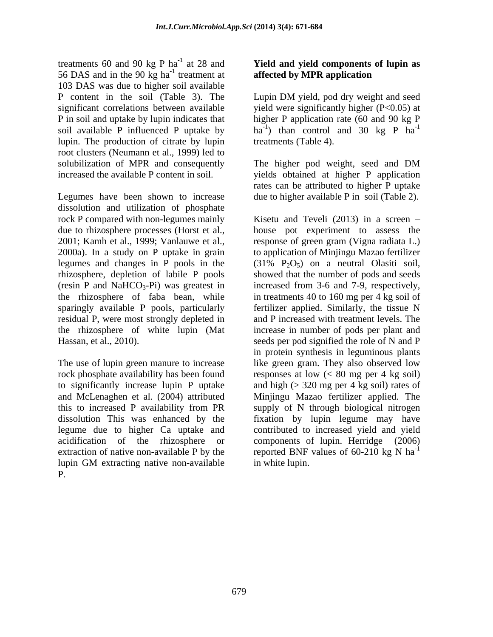treatments 60 and 90 kg P ha<sup>-1</sup> at 28 and 56 DAS and in the 90 kg ha<sup>-1</sup> treatment at 103 DAS was due to higher soil available P content in the soil (Table 3). The Lupin DM yield, pod dry weight and seed significant correlations between available yield were significantly higher (P<0.05) at P in soil and uptake by lupin indicates that higher P application rate (60 and 90 kg P soil available P influenced P uptake by  $h a^{-1}$  than control and 30 kg P  $h a^{-1}$ lupin. The production of citrate by lupin root clusters (Neumann et al., 1999) led to solubilization of MPR and consequently The higher pod weight, seed and DM

Legumes have been shown to increase due to higher available P in soil (Table 2). dissolution and utilization of phosphate rock P compared with non-legumes mainly Kisetu and Teveli (2013) in a screen due to rhizosphere processes (Horst et al., house pot experiment to assess the 2001; Kamh et al., 1999; Vanlauwe et al., response of green gram (Vigna radiata L.) 2000a). In a study on P uptake in grain to application of Minjingu Mazao fertilizer legumes and changes in P pools in the  $(31\% \text{ P}_2\text{O}_5)$  on a neutral Olasiti soil, rhizosphere, depletion of labile P pools showed that the number of pods and seeds (resin P and NaHCO<sub>3</sub>-Pi) was greatest in increased from 3-6 and 7-9, respectively, the rhizosphere of faba bean, while in treatments 40 to 160 mg per 4 kg soil of sparingly available P pools, particularly fertilizer applied. Similarly, the tissue N residual P, were most strongly depleted in and P increased with treatment levels. The the rhizosphere of white lupin (Mat Hassan, et al., 2010). seeds per pod signified the role of N and P

this to increased P availability from PR lupin GM extracting native non-available P.

#### -1 at 28 and **Yield and yield components of lupin as** <sup>-1</sup> treatment at **affected by MPR application**

Lupin DM yield, pod dry weight and seed -1 treatments (Table 4).

increased the available P content in soil. yields obtained at higher P application The higher pod weight, seed and DM rates can be attributed to higher P uptake

The use of lupin green manure to increase like green gram. They also observed low rock phosphate availability has been found responses at low (< 80 mg per 4 kg soil) to significantly increase lupin P uptake and high  $(> 320 \text{ mg per 4 kg soil})$  rates of and McLenaghen et al. (2004) attributed Minjingu Mazao fertilizer applied. The dissolution This was enhanced by the fixation by lupin legume may have legume due to higher Ca uptake and contributed to increased yield and yield acidification of the rhizosphere or components of lupin. Herridge (2006) extraction of native non-available P by the reported BNF values of 60-210 kg N ha<sup>-1</sup>  $(31\% \text{ P}_2\text{O}_5)$  on a neutral Olasiti soil, increase in number of pods per plant and in protein synthesis in leguminous plants supply of N through biological nitrogen -1 in white lupin.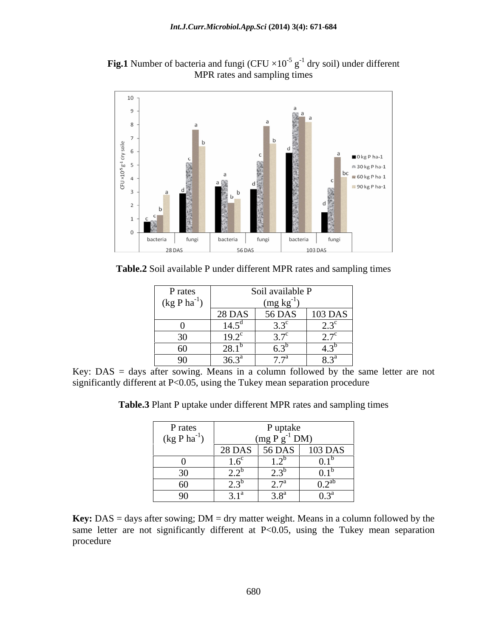**Fig.1** Number of bacteria and fungi (CFU  $\times 10^{-5}$  g<sup>-1</sup> dry soil) under different MPR rates and sampling times



**Table.2** Soil available P under different MPR rates and sampling times

| P rates                 |                     | Soil available P                                    |                          |
|-------------------------|---------------------|-----------------------------------------------------|--------------------------|
| $(\text{kg P ha}^{-1})$ |                     |                                                     |                          |
|                         | <b>28 DAS</b>       | $\frac{\text{(mg kg}^{\text{-1}})}{56 \text{ DAS}}$ | 103 DAS                  |
|                         | 14.5                | $\sim$ $\sim$ $\sim$<br>$\cup \cdot \cup$           | $\Delta \Omega$<br>ر     |
| JV.                     | $19.2^{\circ}$      | $\sim$ $\pi c$<br>$\cup$ ., $\cup$                  | $\sim \pi c$<br><u>.</u> |
|                         | ററ<br>40.1          | U.J                                                 | t.J                      |
|                         | $36.3^{a}$<br>ن.ں ر | 77a<br>.                                            | $8.3^{\mathrm{a}}$       |

Key: DAS = days after sowing. Means in a column followed by the same letter are not significantly different at P<0.05, using the Tukey mean separation procedure

| P rates                 |                             | P uptake           |                                                    |
|-------------------------|-----------------------------|--------------------|----------------------------------------------------|
| $(\text{kg P ha}^{-1})$ |                             | $(mg P g^{-1} DM)$ |                                                    |
|                         | <b>28 DAS</b>               | 56 DAS             | 103 DAS                                            |
|                         | $\sim$                      | $\overline{1}$ .   | ∪.⊥                                                |
| $\sim$<br>$\sim$ $\sim$ | $\sim$<br><u>_</u>          | ن ک                | v.i                                                |
| $\epsilon$              | $\sim$ $\sim$ $\sim$<br>ن ک | $\sim$ $\sim$      | $\Omega$ $2^{ab}$<br>$\mathsf{U} \cdot \mathsf{L}$ |
| $\alpha$<br><b>∕</b>    | n 1d<br>ັບ ∙ັ⊥              | 3.8 <sup>a</sup>   | 0.3 <sup>a</sup>                                   |

**Table.3** Plant P uptake under different MPR rates and sampling times

**Key:** DAS = days after sowing; DM = dry matter weight. Means in a column followed by the same letter are not significantly different at P<0.05, using the Tukey mean separation procedure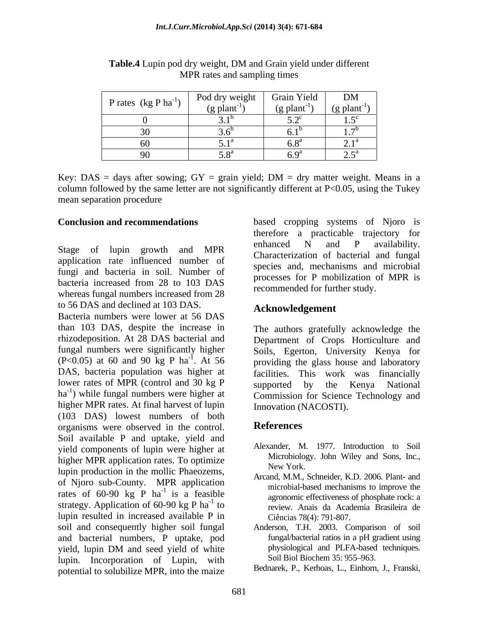| P rates $(kg Pha^{-1})$ | Pod dry weight | Grain Yield                              | DM                              |
|-------------------------|----------------|------------------------------------------|---------------------------------|
|                         | (g plant)      | $(g$ plant $')$                          | $\mid$ (g plant <sup>-1</sup> ) |
|                         |                | $\sim$ $\sim$                            | $1 - 7$                         |
|                         |                |                                          |                                 |
|                         |                | $\epsilon$ o <sup>a</sup><br>, , , , , , |                                 |
|                         |                | $\epsilon$ $\alpha$<br><u>u.z</u>        | n ra                            |

**Table.4** Lupin pod dry weight, DM and Grain yield under different MPR rates and sampling times

Key: DAS = days after sowing;  $GY = \text{grain yield}$ ; DM = dry matter weight. Means in a column followed by the same letter are not significantly different at P<0.05, using the Tukey mean separation procedure

application rate influenced number of fungi and bacteria in soil. Number of bacteria increased from 28 to 103 DAS whereas fungal numbers increased from 28 to 56 DAS and declined at 103 DAS.

Bacteria numbers were lower at 56 DAS than 103 DAS, despite the increase in rhizodeposition. At 28 DAS bacterial and Department of Crops Horticulture and fungal numbers were significantly higher Soils, Egerton, University Kenya for (P<0.05) at 60 and 90 kg P ha<sup>-1</sup>. At 56 DAS, bacteria population was higher at facilities. This work was financially lower rates of MPR (control and 30 kg P supported by the Kenya National  $ha^{-1}$ ) while fungal numbers were higher at higher MPR rates. At final harvest of lupin  $(103 \text{ } DAS)$  lowest numbers of both<br>organisms were observed in the control References organisms were observed in the control. Soil available P and uptake, yield and yield components of lupin were higher at higher MPR application rates. To optimize MICrobiology lupin production in the mollic Phaeozems, of Njoro sub-County. MPR application rates of  $60-90$  kg P ha<sup>-1</sup> is a feasible strategy. Application of 60-90 kg P  $ha^{-1}$  to lupin resulted in increased available P in soil and consequently higher soil fungal Anderson, T.H. 2003. Comparison of soil and bacterial numbers, P uptake, pod yield, lupin DM and seed yield of white hyposiological and PLFA-based techniques. lupin. Incorporation of Lupin, with potential to solubilize MPR, into the maize

**Conclusion and recommendations**  based cropping systems of Njoro is Stage of lupin growth and MPR enhanced N and P availability. therefore a practicable trajectory for enhanced N and P availability. Characterization of bacterial and fungal species and, mechanisms and microbial processes for P mobilization of MPR is recommended for further study.

### **Acknowledgement**

<sup>-1</sup>. At 56 providing the glass house and laboratory ) while fungal numbers were higher at Commission for Science Technology and The authors gratefully acknowledge the supported by the Kenya National Innovation (NACOSTI).

#### **References**

- Alexander, M. 1977. Introduction to Soil Microbiology. John Wiley and Sons, Inc., New York.
- <sup>-1</sup> is a feasible agronomic effectiveness of phosphate rock: a -1 to determine effectiveness of phosphate form. to review. Anais da Academia Brasileira de Arcand, M.M., Schneider, K.D. 2006. Plant- and microbial-based mechanisms to improve the Ciências 78(4): 791-807.
	- fungal/bacterial ratios in a pH gradient using physiological and PLFA-based techniques. Soil Biol Biochem 35: 955-963.
	- Bednarek, P., Kerhoas, L., Einhorn, J., Franski,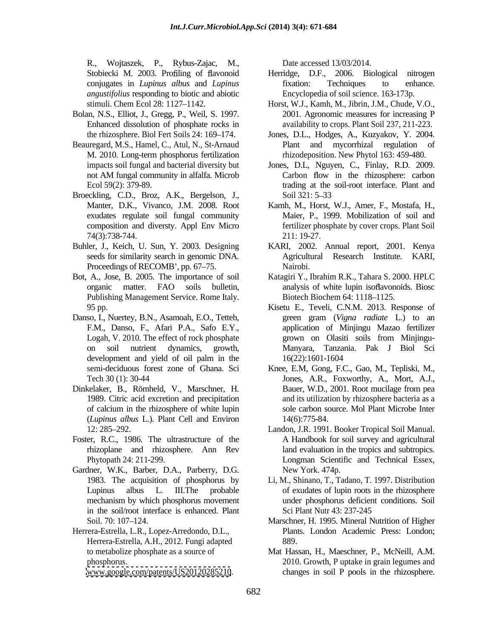R., Wojtaszek, P., Rybus-Zajac, M., Date accessed 13/03/2014. *angustifolius* responding to biotic and abiotic

- Bolan, N.S., Elliot, J., Gregg, P., Weil, S. 1997. Enhanced dissolution of phosphate rocks in
- Beauregard, M.S., Hamel, C., Atul, N., St-Arnaud M. 2010. Long-term phosphorus fertilization
- Broeckling, C.D., Broz, A.K., Bergelson, J., Soil 321: 5–33
- 
- Publishing Management Service. Rome Italy.
- Danso, I., Nuertey, B.N., Asamoah, E.O., Tetteh, K, Weights/2013. Date accessed 13/20201. And the accessed 13/20201. The state is a small of the state of the state is a small of the state of the state of the state of the state of the state of the state of the state of t
- Dinkelaker, B., Römheld, V., Marschner, H. of calcium in the rhizosphere of white lupin (*Lupinus albus* L.). Plant Cell and Environ
- Foster, R.C., 1986. The ultrastructure of the
- Gardner, W.K., Barber, D.A., Parberry, D.G. New York. 474p. in the soil/root interface is enhanced. Plant
- Herrera-Estrella, L.R., Lopez-Arredondo, D.L., Herrera-Estrella, A.H., 2012. Fungi adapted

- Stobiecki M. 2003. Profiling of flavonoid Herridge, D.F., 2006. Biological nitrogen conjugates in *Lupinus albus* and *Lupinus*  Herridge, D.F., 2006. Biological fixation: Techniques to enhance. Encyclopedia of soil science. 163-173p.
- stimuli. Chem Ecol 28: 1127 1142. Horst, W.J., Kamh, M., Jibrin, J.M., Chude, V.O., 2001. Agronomic measures for increasing P availability to crops. Plant Soil 237, 211-223.
- the rhizosphere. Biol Fert Soils 24: 169 174. Jones, D.L., Hodges, A., Kuzyakov, Y. 2004. Plant and mycorrhizal regulation of rhizodeposition. New Phytol 163: 459-480.
- impacts soil fungal and bacterial diversity but Jones, D.L, Nguyen, C., Finlay, R.D. 2009. not AM fungal community in alfalfa. Microb Ecol 59(2): 379-89. trading at the soil-root interface. Plant and Carbon flow in the rhizosphere: carbon Soil 321: 5–33
- Manter, D.K., Vivanco, J.M. 2008. Root Kamh, M., Horst, W.J., Amer, F., Mostafa, H., exudates regulate soil fungal community Maier, P., 1999. Mobilization of soil and composition and diversty. Appl Env Micro fertilizer phosphate by cover crops. Plant Soil 74(3):738-744. 211: 19-27.
- Buhler, J., Keich, U. Sun, Y. 2003. Designing KARI, 2002. Annual report, 2001. Kenya seeds for similarity search in genomic DNA. Agricultural Research Institute. KARI, Proceedings of RECOMB', pp. 67–75. Nairobi. Nairobi. **Nairobi**.
- Bot, A., Jose, B. 2005. The importance of soil Katagiri Y., Ibrahim R.K., Tahara S. 2000. HPLC organic matter. FAO soils bulletin, analysis of white lupin isoflavonoids. Biosc Biotech Biochem 64: 1118-1125.
	- 95 pp. Kisetu E., Teveli, C.N.M. 2013. Response of F.M., Danso, F., Afari P.A., Safo E.Y., application of Minjingu Mazao fertilizer Logah, V. 2010. The effect of rock phosphate error on Olasiti soils from Minjinguon soil nutrient dynamics, growth, Manyara, Tanzania. Pak J Biol Sci development and yield of oil palm in the  $16(22):1601-1604$ green gram (*Vigna radiate* L.) to an grown on Olasiti soils from Minjingu- 16(22):1601-1604
	- semi-deciduous forest zone of Ghana. Sci Knee, E.M, Gong, F.C., Gao, M., Tepliski, M., Tech 30 (1): 30-44 Jones, A.R., Foxworthy, A., Mort, A.J., 1989. Citric acid excretion and precipitation and its utilization by rhizosphere bacteria as a Bauer, W.D., 2001. Root mucilage from pea sole carbon source. Mol Plant Microbe Inter 14(6):775-84.
	- 12: 285 292. Landon, J.R. 1991. Booker Tropical Soil Manual. rhizoplane and rhizosphere. Ann Rev land evaluation in the tropics and subtropics. Phytopath 24: 211-299. Longman Scientific and Technical Essex, A Handbook for soil survey and agricultural New York. 474p.
	- 1983. The acquisition of phosphorus by Li, M., Shinano, T., Tadano, T. 1997. Distribution Lupinus albus L. III.The probable of exudates of lupin roots in the rhizosphere mechanism by which phosphorus movement under phosphorus deficient conditions. Soil Sci Plant Nutr 43: 237-245
	- Soil. 70: 107–124. Community Marschner, H. 1995. Mineral Nutrition of Higher Plants. London Academic Press: London; 889.
	- to metabolize phosphate as a source of Mat Hassan, H., Maeschner, P., McNeill, A.M. phosphorus. 2010. Growth, P uptake in grain legumes and changes in soil P pools in the rhizosphere.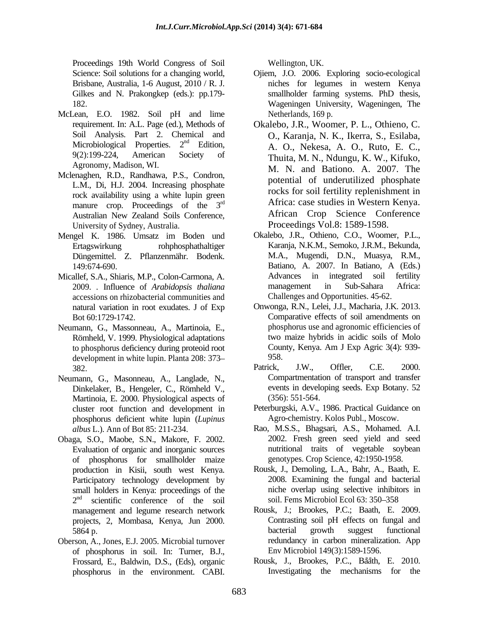Proceedings 19th World Congress of Soil Brisbane, Australia, 1-6 August, 2010 / R. J.

- McLean, E.O. 1982. Soil pH and lime Microbiological Properties. 2<sup>nd</sup> Edition,
- Mclenaghen, R.D., Randhawa, P.S., Condron, L.M., Di, H.J. 2004. Increasing phosphate rock availability using a white lupin green manure crop. Proceedings of the  $3<sup>rd</sup>$ Australian New Zealand Soils Conference, University of Sydney, Australia.
- Mengel K. 1986. Umsatz im Boden und Düngemittel. Z. Pflanzenmähr. Bodenk.
- accessions on rhizobacterial communities and
- Neumann, G., Massonneau, A., Martinoia, E., to phosphorus deficiency during proteoid root development in white lupin. Planta 208: 373–958.
- Neumann, G., Masonneau, A., Langlade, N., Dinkelaker, B., Hengeler, C., Römheld V., Martinoia, E. 2000. Physiological aspects of cluster root function and development in phosphorus deficient white lupin (*Lupinus*
- Obaga, S.O., Maobe, S.N., Makore, F. 2002. Evaluation of organic and inorganic sources of phosphorus for smallholder maize Participatory technology development by small holders in Kenya: proceedings of the management and legume research network
- Oberson, A., Jones, E.J. 2005. Microbial turnover of phosphorus in soil. In: Turner, B.J.,

- Science: Soil solutions for a changing world, Ojiem, J.O. 2006. Exploring socio-ecological Gilkes and N. Prakongkep (eds.): pp.179-<br>
smallholder farming systems. PhD thesis, 182. Wageningen University, Wageningen, The niches for legumes in western Kenya smallholder farming systems. PhD thesis, Netherlands, 169 p.
- requirement. In: A.L. Page (ed.), Methods of Okalebo, J.R., Woomer, P. L., Othieno, C. Soil Analysis. Part 2. Chemical and O., Karanja, N. K., Ikerra, S., Esilaba, nd Edition, A. O., Nekesa, A. O., Ruto, E. C., 9(2):199-224, American Society of Thuita, M. N., Ndungu, K. W., Kifuko, Agronomy, Madison, WI.<br>
M. N. and Bationo. A. 2007. The rd Africa: case studies in Western Kenya. Processing UHs Werel (1990) (1990). The Mellington, UK. Composition of the entire of the entire of the entire of the entire of the entire of the entire of the entire of the entire of the entire of the entire of the entire potential of underutilized phosphate rocks for soil fertility replenishment in African Crop Science Conference Proceedings Vol.8: 1589-1598.
- Ertagswirkung rohphosphathaltiger Karanja, N.K.M., Semoko, J.R.M., Bekunda, 149:674-690. Batiano, A. 2007. In Batiano, A (Eds.) Micallef, S.A., Shiaris, M.P., Colon-Carmona, A. 2009. *.* Influence of *Arabidopsis thaliana* Okalebo, J.R., Othieno, C.O., Woomer, P.L., M.A., Mugendi, D.N., Muasya, R.M., Advances in integrated soil fertility management in Sub-Sahara Africa: Challenges and Opportunities. 45-62.
	- natural variation in root exudates. J of Exp Onwonga, R.N., Lelei, J.J., Macharia, J.K. 2013. Bot 60:1729-1742. Comparative effects of soil amendments on Römheld, V. 1999. Physiological adaptations two maize hybrids in acidic soils of Molo<br>to phosphorus deficiency during proteoid root County, Kenya. Am J Exp Agric 3(4): 939phosphorus use and agronomic efficiencies of two maize hybrids in acidic soils of Molo County, Kenya. Am J Exp Agric 3(4): 939- 958.
	- 382. Patrick, J.W., Offler, C.E. 2000. Compartmentation of transport and transfer events in developing seeds. Exp Botany. 52 (356): 551-564.
		- Peterburgski, A.V., 1986. Practical Guidance on Agro-chemistry. Kolos Publ., Moscow.
	- *albus* L.). Ann of Bot 85: 211-234. Rao, M.S.S., Bhagsari, A.S., Mohamed. A.I. 2002. Fresh green seed yield and seed nutritional traits of vegetable soybean genotypes. Crop Science, 42:1950-1958.
	- production in Kisii, south west Kenya. Rousk, J., Demoling, L.A., Bahr, A., Baath, E.  $2<sup>nd</sup>$  scientific conference of the soil soil. Fems Microbiol Ecol 63: 350–358 2008. Examining the fungal and bacterial niche overlap using selective inhibitors in soil. Fems Microbiol Ecol 63: 350-358
	- projects, 2, Mombasa, Kenya, Jun 2000. Contrasting soil pH effects on fungal and 5864 p.<br>5864 p. 5864 p. the contraction of the contraction of the bacterial growth suggest functional state of the contraction of the contraction of the contraction of the contraction of the contraction of the contraction of the contracti Rousk, J.; Brookes, P.C.; Baath, E. 2009. Contrasting soil pH effects on fungal and bacterial growth suggest functional redundancy in carbon mineralization. App Env Microbiol 149(3):1589-1596.
	- Frossard, E., Baldwin, D.S., (Eds), organic Rousk, J., Brookes, P.C., Baath, E. 2010. Investigating the mechanisms for the